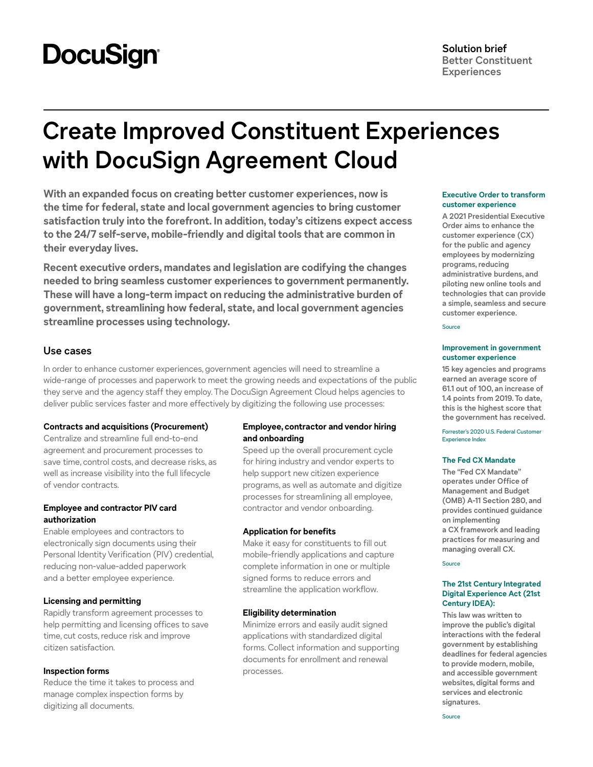# **DocuSign®**

## **Create Improved Constituent Experiences with DocuSign Agreement Cloud**

**With an expanded focus on creating better customer experiences, now is the time for federal, state and local government agencies to bring customer satisfaction truly into the forefront. In addition, today's citizens expect access to the 24/7 self-serve, mobile-friendly and digital tools that are common in their everyday lives.** 

**Recent executive orders, mandates and legislation are codifying the changes needed to bring seamless customer experiences to government permanently. These will have a long-term impact on reducing the administrative burden of government, streamlining how federal, state, and local government agencies streamline processes using technology.**

## **Use cases**

In order to enhance customer experiences, government agencies will need to streamline a wide-range of processes and paperwork to meet the growing needs and expectations of the public they serve and the agency staff they employ. The DocuSign Agreement Cloud helps agencies to deliver public services faster and more effectively by digitizing the following use processes:

## **Contracts and acquisitions (Procurement)**

Centralize and streamline full end-to-end agreement and procurement processes to save time, control costs, and decrease risks, as well as increase visibility into the full lifecycle of vendor contracts.

## **Employee and contractor PIV card authorization**

Enable employees and contractors to electronically sign documents using their Personal Identity Verification (PIV) credential, reducing non-value-added paperwork and a better employee experience.

## **Licensing and permitting**

Rapidly transform agreement processes to help permitting and licensing offices to save time, cut costs, reduce risk and improve citizen satisfaction.

## **Inspection forms**

Reduce the time it takes to process and manage complex inspection forms by digitizing all documents.

## **Employee, contractor and vendor hiring and onboarding**

Speed up the overall procurement cycle for hiring industry and vendor experts to help support new citizen experience programs, as well as automate and digitize processes for streamlining all employee, contractor and vendor onboarding.

## **Application for benefits**

Make it easy for constituents to fill out mobile-friendly applications and capture complete information in one or multiple signed forms to reduce errors and streamline the application workflow.

## **Eligibility determination**

Minimize errors and easily audit signed applications with standardized digital forms. Collect information and supporting documents for enrollment and renewal processes.

#### **Executive Order to transform customer experience**

**A 2021 Presidential Executive Order aims to enhance the customer experience (CX) for the public and agency employees by modernizing programs, reducing administrative burdens, and piloting new online tools and technologies that can provide a simple, seamless and secure customer experience.**

[Source](https://www.whitehouse.gov/briefing-room/presidential-actions/2021/12/13/executive-order-on-transforming-federal-customer-experience-and-service-delivery-to-rebuild-trust-in-government/)

#### **Improvement in government customer experience**

**15 key agencies and programs earned an average score of 61.1 out of 100, an increase of 1.4 points from 2019. To date, this is the highest score that the government has received.**

[Forrester's 2020 U.S. Federal Customer](https://www.forrester.com/report/The-US-Federal-Customer-Experience-Index-2020/RES162398)  [Experience Index](https://www.forrester.com/report/The-US-Federal-Customer-Experience-Index-2020/RES162398)

#### **The Fed CX Mandate**

**The "Fed CX Mandate" operates under Office of Management and Budget (OMB) A-11 Section 280, and provides continued guidance on implementing a CX framework and leading practices for measuring and managing overall CX.**

[Source](https://www.nextgov.com/policy/2020/12/federal-cx-moves-mattered-2020/171052/)

## **The 21st Century Integrated Digital Experience Act (21st Century IDEA):**

**This law was written to improve the public's digital interactions with the federal government by establishing deadlines for federal agencies to provide modern, mobile, and accessible government websites, digital forms and services and electronic signatures.**

[Source](https://www.docusign.com/21st-century-idea-act)